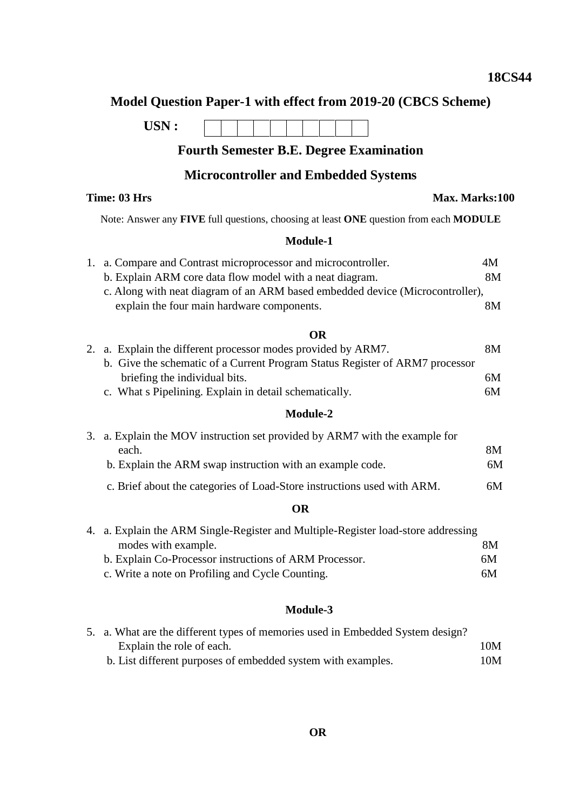## **Model Question Paper-1 with effect from 2019-20 (CBCS Scheme)**

**USN :**

## **Fourth Semester B.E. Degree Examination**

## **Microcontroller and Embedded Systems**

# **Time: 03 Hrs Max. Marks:100**

Note: Answer any **FIVE** full questions, choosing at least **ONE** question from each **MODULE**

#### **Module-1**

| 1. a. Compare and Contrast microprocessor and microcontroller.                | 4M |
|-------------------------------------------------------------------------------|----|
| b. Explain ARM core data flow model with a neat diagram.                      | 8M |
| c. Along with neat diagram of an ARM based embedded device (Microcontroller), |    |
| explain the four main hardware components.                                    | 8M |

## **OR**

|  | 2. a. Explain the different processor modes provided by ARM7.                | 8M |
|--|------------------------------------------------------------------------------|----|
|  | b. Give the schematic of a Current Program Status Register of ARM7 processor |    |
|  | briefing the individual bits.                                                | 6M |
|  | c. What a Pipelining. Explain in detail schematically.                       | 6M |

#### **Module-2**

| 3. a. Explain the MOV instruction set provided by ARM7 with the example for |    |
|-----------------------------------------------------------------------------|----|
| each.                                                                       | 8M |
| b. Explain the ARM swap instruction with an example code.                   | 6M |
| c. Brief about the categories of Load-Store instructions used with ARM.     | 6M |

### **OR**

| 4. a. Explain the ARM Single-Register and Multiple-Register load-store addressing |    |
|-----------------------------------------------------------------------------------|----|
| modes with example.                                                               | 8M |
| b. Explain Co-Processor instructions of ARM Processor.                            | 6M |
| c. Write a note on Profiling and Cycle Counting.                                  | 6M |

## **Module-3**

| 5. a. What are the different types of memories used in Embedded System design? |     |
|--------------------------------------------------------------------------------|-----|
| Explain the role of each.                                                      | 10M |
| b. List different purposes of embedded system with examples.                   | 10M |